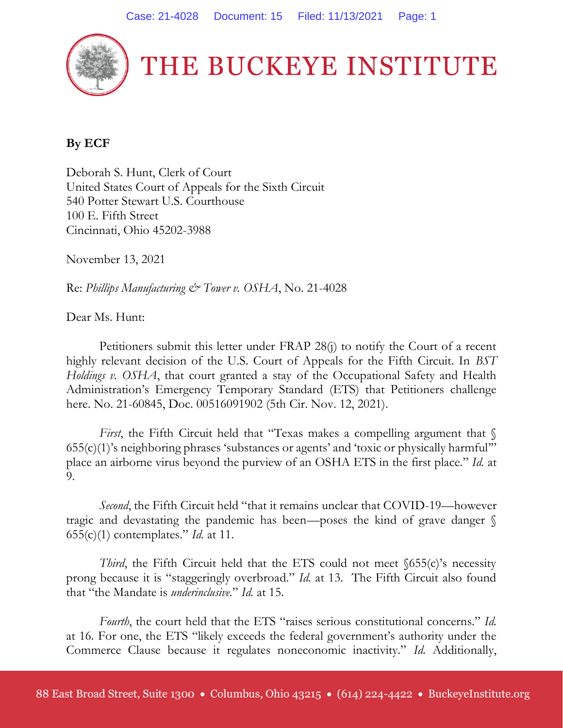

## **By ECF**

Deborah S. Hunt, Clerk of Court United States Court of Appeals for the Sixth Circuit 540 Potter Stewart U.S. Courthouse 100 E. Fifth Street Cincinnati, Ohio 45202-3988

November 13, 2021

Re: *Phillips Manufacturing & Tower v. OSHA*, No. 21-4028

Dear Ms. Hunt:

Petitioners submit this letter under FRAP 28(j) to notify the Court of a recent highly relevant decision of the U.S. Court of Appeals for the Fifth Circuit. In *BST Holdings v. OSHA*, that court granted a stay of the Occupational Safety and Health Administration's Emergency Temporary Standard (ETS) that Petitioners challenge here. No. 21-60845, Doc. 00516091902 (5th Cir. Nov. 12, 2021).

*First*, the Fifth Circuit held that "Texas makes a compelling argument that  $\sqrt$ 655(c)(1)'s neighboring phrases 'substances or agents' and 'toxic or physically harmful'" place an airborne virus beyond the purview of an OSHA ETS in the first place." *Id.* at 9.

*Second*, the Fifth Circuit held "that it remains unclear that COVID-19—however tragic and devastating the pandemic has been—poses the kind of grave danger § 655(c)(1) contemplates." *Id.* at 11.

*Third*, the Fifth Circuit held that the ETS could not meet §655(c)'s necessity prong because it is "staggeringly overbroad." *Id.* at 13. The Fifth Circuit also found that "the Mandate is *underinclusive.*" *Id.* at 15.

*Fourth*, the court held that the ETS "raises serious constitutional concerns." *Id.*  at 16. For one, the ETS "likely exceeds the federal government's authority under the Commerce Clause because it regulates noneconomic inactivity." *Id.* Additionally,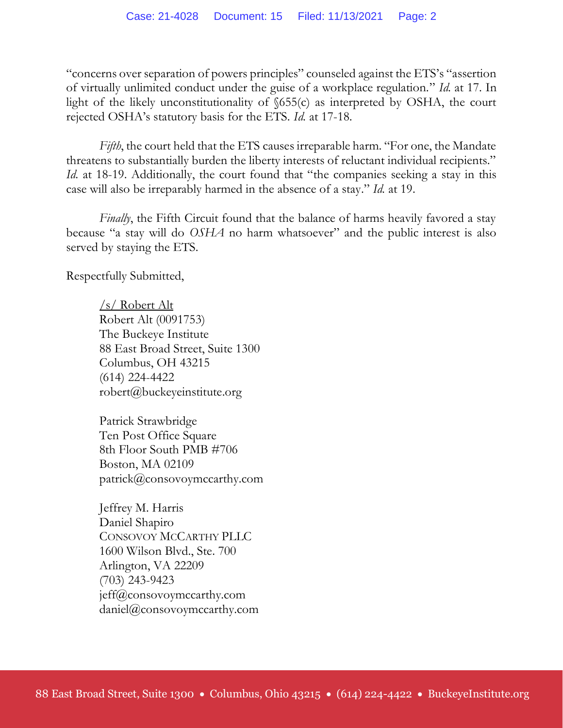"concerns over separation of powers principles" counseled against the ETS's "assertion of virtually unlimited conduct under the guise of a workplace regulation." *Id.* at 17. In light of the likely unconstitutionality of  $\delta$ 55(c) as interpreted by OSHA, the court rejected OSHA's statutory basis for the ETS. *Id.* at 17-18.

*Fifth*, the court held that the ETS causes irreparable harm. "For one, the Mandate threatens to substantially burden the liberty interests of reluctant individual recipients." *Id.* at 18-19. Additionally, the court found that "the companies seeking a stay in this case will also be irreparably harmed in the absence of a stay." *Id.* at 19.

*Finally*, the Fifth Circuit found that the balance of harms heavily favored a stay because "a stay will do *OSHA* no harm whatsoever" and the public interest is also served by staying the ETS.

Respectfully Submitted,

/s/ Robert Alt Robert Alt (0091753) The Buckeye Institute 88 East Broad Street, Suite 1300 Columbus, OH 43215 (614) 224-4422 robert@buckeyeinstitute.org

Patrick Strawbridge Ten Post Office Square 8th Floor South PMB #706 Boston, MA 02109 patrick@consovoymccarthy.com

Jeffrey M. Harris Daniel Shapiro CONSOVOY MCCARTHY PLLC 1600 Wilson Blvd., Ste. 700 Arlington, VA 22209 (703) 243-9423 jeff@consovoymccarthy.com daniel@consovoymccarthy.com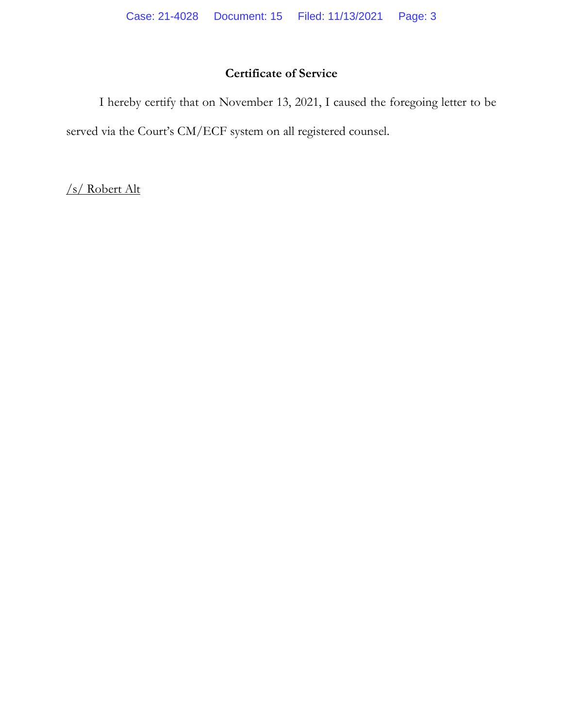## **Certificate of Service**

I hereby certify that on November 13, 2021, I caused the foregoing letter to be served via the Court's CM/ECF system on all registered counsel.

/s/ Robert Alt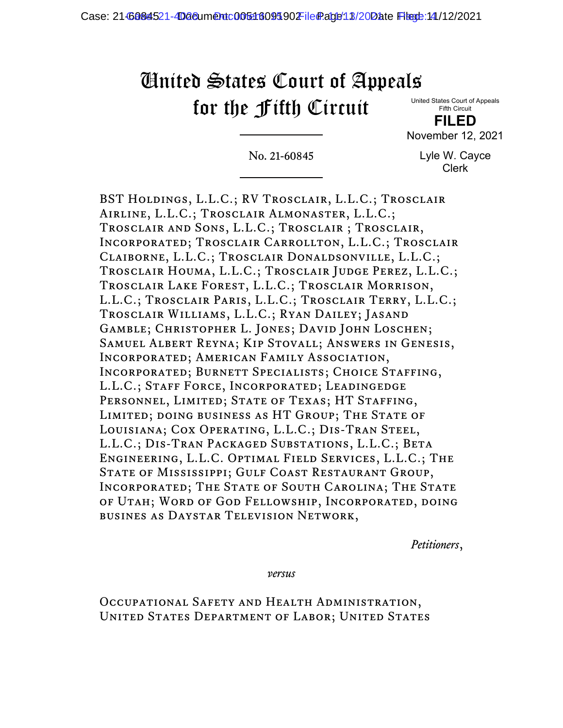# United States Court of Appeals for the Fifth Circuit

United States Court of Appeals Fifth Circuit

**FILED** November 12, 2021

No. 21-60845

Lyle W. Cayce Clerk

BST Holdings, L.L.C.; RV Trosclair, L.L.C.; Trosclair Airline, L.L.C.; Trosclair Almonaster, L.L.C.; Trosclair and Sons, L.L.C.; Trosclair ; Trosclair, Incorporated; Trosclair Carrollton, L.L.C.; Trosclair Claiborne, L.L.C.; Trosclair Donaldsonville, L.L.C.; Trosclair Houma, L.L.C.; Trosclair Judge Perez, L.L.C.; Trosclair Lake Forest, L.L.C.; Trosclair Morrison, L.L.C.; Trosclair Paris, L.L.C.; Trosclair Terry, L.L.C.; Trosclair Williams, L.L.C.; Ryan Dailey; Jasand Gamble; Christopher L. Jones; David John Loschen; Samuel Albert Reyna; Kip Stovall; Answers in Genesis, Incorporated; American Family Association, Incorporated; Burnett Specialists; Choice Staffing, L.L.C.; Staff Force, Incorporated; Leadingedge PERSONNEL, LIMITED; STATE OF TEXAS; HT STAFFING, Limited; doing business as HT Group; The State of Louisiana; Cox Operating, L.L.C.; Dis-Tran Steel, L.L.C.; Dis-Tran Packaged Substations, L.L.C.; Beta Engineering, L.L.C. Optimal Field Services, L.L.C.; The STATE OF MISSISSIPPI; GULF COAST RESTAURANT GROUP, INCORPORATED; THE STATE OF SOUTH CAROLINA; THE STATE of Utah; Word of God Fellowship, Incorporated, doing busines as Daystar Television Network,

*Petitioners*,

*versus*

Occupational Safety and Health Administration, United States Department of Labor; United States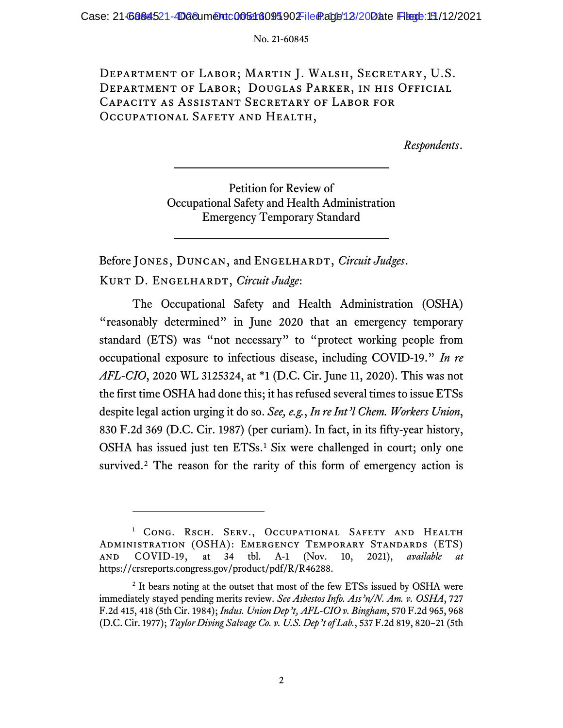Department of Labor; Martin J. Walsh, Secretary, U.S. Department of Labor; Douglas Parker, in his Official Capacity as Assistant Secretary of Labor for Occupational Safety and Health,

*Respondents*.

Petition for Review of Occupational Safety and Health Administration Emergency Temporary Standard

Before JONES, DUNCAN, and ENGELHARDT, *Circuit Judges*. Kurt D. Engelhardt, *Circuit Judge*:

The Occupational Safety and Health Administration (OSHA) "reasonably determined" in June 2020 that an emergency temporary standard (ETS) was "not necessary" to "protect working people from occupational exposure to infectious disease, including COVID-19." *In re AFL-CIO*, 2020 WL 3125324, at \*1 (D.C. Cir. June 11, 2020). This was not the first time OSHA had done this; it has refused several times to issue ETSs despite legal action urging it do so. *See, e.g.*, *In re Int'l Chem. Workers Union*, 830 F.2d 369 (D.C. Cir. 1987) (per curiam). In fact, in its fifty-year history, OSHA has issued just ten ETSs. [1](#page-4-0) Six were challenged in court; only one survived.<sup>[2](#page-4-1)</sup> The reason for the rarity of this form of emergency action is

<span id="page-4-0"></span><sup>&</sup>lt;sup>1</sup> CONG. RSCH. SERV., OCCUPATIONAL SAFETY AND HEALTH Administration (OSHA): Emergency Temporary Standards (ETS) and COVID-19, at 34 tbl. A-1 (Nov. 10, 2021), *available at*  https://crsreports.congress.gov/product/pdf/R/R46288.

<span id="page-4-1"></span><sup>&</sup>lt;sup>2</sup> It bears noting at the outset that most of the few ETSs issued by OSHA were immediately stayed pending merits review. *See Asbestos Info. Ass'n/N. Am. v. OSHA*, 727 F.2d 415, 418 (5th Cir. 1984); *Indus. Union Dep't, AFL-CIO v. Bingham*, 570 F.2d 965, 968 (D.C. Cir. 1977); *Taylor Diving Salvage Co. v. U.S. Dep't of Lab.*, 537 F.2d 819, 820–21 (5th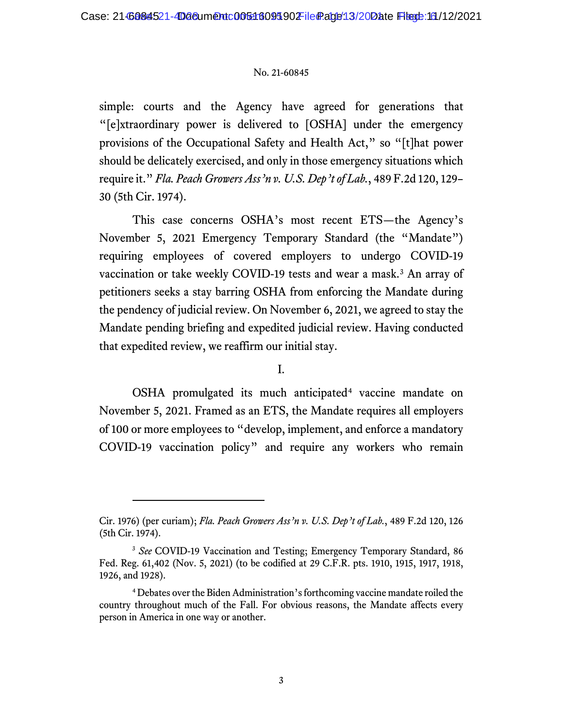simple: courts and the Agency have agreed for generations that "[e]xtraordinary power is delivered to [OSHA] under the emergency provisions of the Occupational Safety and Health Act," so "[t]hat power should be delicately exercised, and only in those emergency situations which require it." *Fla. Peach Growers Ass'n v. U.S. Dep't of Lab.*, 489 F.2d 120, 129– 30 (5th Cir. 1974).

This case concerns OSHA's most recent ETS—the Agency's November 5, 2021 Emergency Temporary Standard (the "Mandate") requiring employees of covered employers to undergo COVID-19 vaccination or take weekly COVID-19 tests and wear a mask. [3](#page-5-0) An array of petitioners seeks a stay barring OSHA from enforcing the Mandate during the pendency of judicial review. On November 6, 2021, we agreed to stay the Mandate pending briefing and expedited judicial review. Having conducted that expedited review, we reaffirm our initial stay.

I.

OSHA promulgated its much anticipated<sup>[4](#page-5-1)</sup> vaccine mandate on November 5, 2021. Framed as an ETS, the Mandate requires all employers of 100 or more employees to "develop, implement, and enforce a mandatory COVID-19 vaccination policy" and require any workers who remain

Cir. 1976) (per curiam); *Fla. Peach Growers Ass'n v. U.S. Dep't of Lab.*, 489 F.2d 120, 126 (5th Cir. 1974).

<span id="page-5-0"></span><sup>&</sup>lt;sup>3</sup> See COVID-19 Vaccination and Testing; Emergency Temporary Standard, 86 Fed. Reg. 61,402 (Nov. 5, 2021) (to be codified at 29 C.F.R. pts. 1910, 1915, 1917, 1918, 1926, and 1928).

<span id="page-5-1"></span><sup>4</sup> Debates over the Biden Administration's forthcoming vaccine mandate roiled the country throughout much of the Fall. For obvious reasons, the Mandate affects every person in America in one way or another.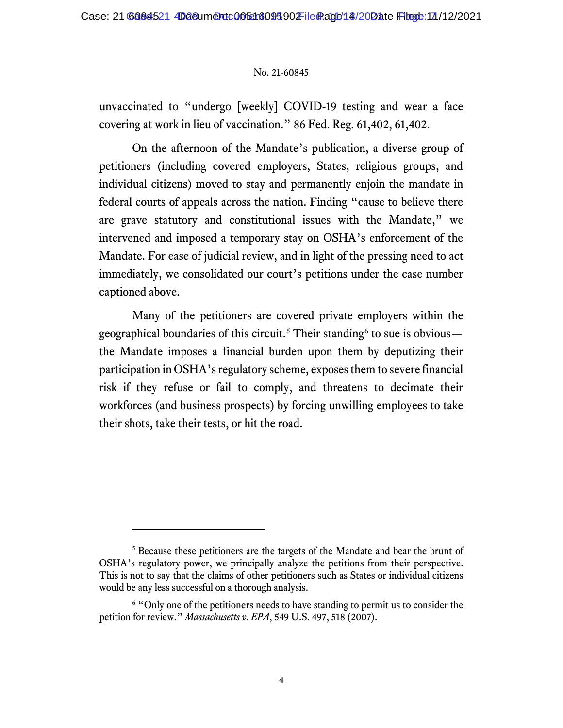unvaccinated to "undergo [weekly] COVID-19 testing and wear a face covering at work in lieu of vaccination." 86 Fed. Reg. 61,402, 61,402.

On the afternoon of the Mandate's publication, a diverse group of petitioners (including covered employers, States, religious groups, and individual citizens) moved to stay and permanently enjoin the mandate in federal courts of appeals across the nation. Finding "cause to believe there are grave statutory and constitutional issues with the Mandate," we intervened and imposed a temporary stay on OSHA's enforcement of the Mandate. For ease of judicial review, and in light of the pressing need to act immediately, we consolidated our court's petitions under the case number captioned above.

Many of the petitioners are covered private employers within the geographical boundaries of this circuit.<sup>[5](#page-6-0)</sup> Their standing<sup>[6](#page-6-1)</sup> to sue is obvious the Mandate imposes a financial burden upon them by deputizing their participation in OSHA's regulatory scheme, exposes them to severe financial risk if they refuse or fail to comply, and threatens to decimate their workforces (and business prospects) by forcing unwilling employees to take their shots, take their tests, or hit the road.

<span id="page-6-0"></span><sup>5</sup> Because these petitioners are the targets of the Mandate and bear the brunt of OSHA's regulatory power, we principally analyze the petitions from their perspective. This is not to say that the claims of other petitioners such as States or individual citizens would be any less successful on a thorough analysis.

<span id="page-6-1"></span><sup>&</sup>lt;sup>6</sup> "Only one of the petitioners needs to have standing to permit us to consider the petition for review." *Massachusetts v. EPA*, 549 U.S. 497, 518 (2007).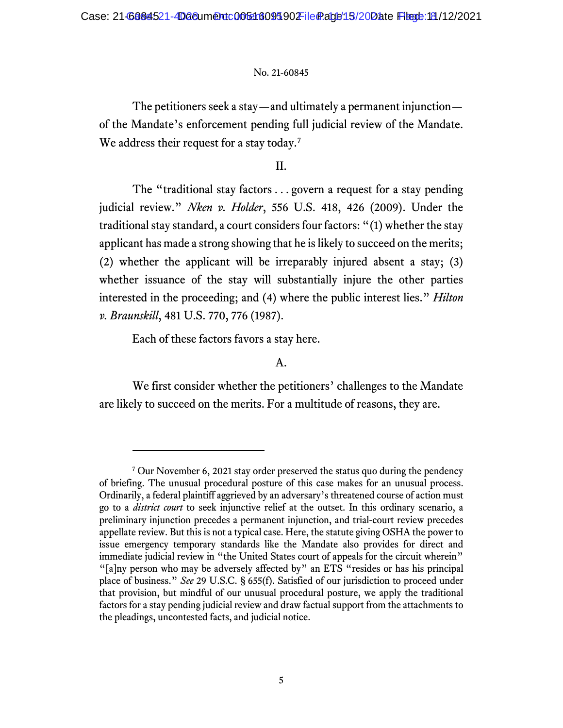The petitioners seek a stay—and ultimately a permanent injunction of the Mandate's enforcement pending full judicial review of the Mandate. We address their request for a stay today.<sup>[7](#page-7-0)</sup>

II.

The "traditional stay factors . . . govern a request for a stay pending judicial review." *Nken v. Holder*, 556 U.S. 418, 426 (2009). Under the traditional stay standard, a court considers four factors: "(1) whether the stay applicant has made a strong showing that he is likely to succeed on the merits; (2) whether the applicant will be irreparably injured absent a stay; (3) whether issuance of the stay will substantially injure the other parties interested in the proceeding; and (4) where the public interest lies." *Hilton v. Braunskill*, 481 U.S. 770, 776 (1987).

Each of these factors favors a stay here.

#### A.

We first consider whether the petitioners' challenges to the Mandate are likely to succeed on the merits. For a multitude of reasons, they are.

<span id="page-7-0"></span><sup>7</sup> Our November 6, 2021 stay order preserved the status quo during the pendency of briefing. The unusual procedural posture of this case makes for an unusual process. Ordinarily, a federal plaintiff aggrieved by an adversary's threatened course of action must go to a *district court* to seek injunctive relief at the outset. In this ordinary scenario, a preliminary injunction precedes a permanent injunction, and trial-court review precedes appellate review. But this is not a typical case. Here, the statute giving OSHA the power to issue emergency temporary standards like the Mandate also provides for direct and immediate judicial review in "the United States court of appeals for the circuit wherein" "[a]ny person who may be adversely affected by" an ETS "resides or has his principal place of business." *See* 29 U.S.C. § 655(f). Satisfied of our jurisdiction to proceed under that provision, but mindful of our unusual procedural posture, we apply the traditional factors for a stay pending judicial review and draw factual support from the attachments to the pleadings, uncontested facts, and judicial notice.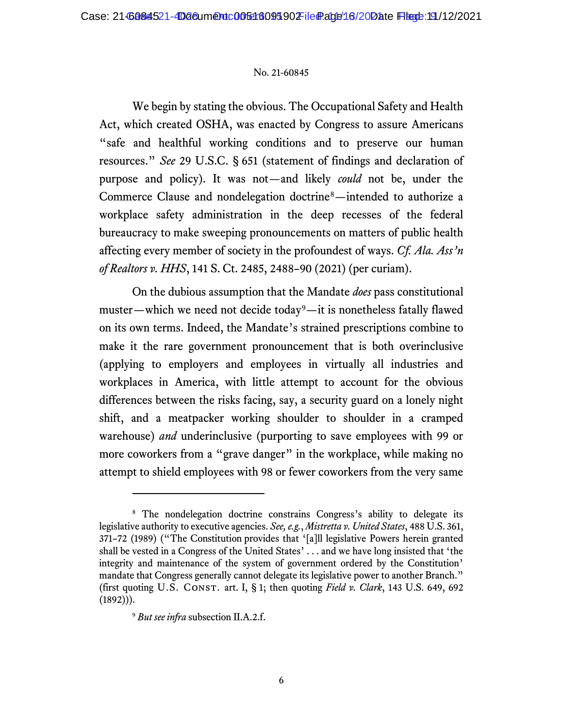We begin by stating the obvious. The Occupational Safety and Health Act, which created OSHA, was enacted by Congress to assure Americans "safe and healthful working conditions and to preserve our human resources." *See* 29 U.S.C. § 651 (statement of findings and declaration of purpose and policy). It was not—and likely *could* not be, under the Commerce Clause and nondelegation doctrine[8—](#page-8-0)intended to authorize a workplace safety administration in the deep recesses of the federal bureaucracy to make sweeping pronouncements on matters of public health affecting every member of society in the profoundest of ways. *Cf. Ala. Ass'n of Realtors v. HHS*, 141 S. Ct. 2485, 2488–90 (2021) (per curiam).

On the dubious assumption that the Mandate *does* pass constitutional muster—which we need not decide today<sup>9</sup>—it is nonetheless fatally flawed on its own terms. Indeed, the Mandate's strained prescriptions combine to make it the rare government pronouncement that is both overinclusive (applying to employers and employees in virtually all industries and workplaces in America, with little attempt to account for the obvious differences between the risks facing, say, a security guard on a lonely night shift, and a meatpacker working shoulder to shoulder in a cramped warehouse) *and* underinclusive (purporting to save employees with 99 or more coworkers from a "grave danger" in the workplace, while making no attempt to shield employees with 98 or fewer coworkers from the very same

<span id="page-8-0"></span><sup>&</sup>lt;sup>8</sup> The nondelegation doctrine constrains Congress's ability to delegate its legislative authority to executive agencies. *See, e.g.*, *Mistretta v. United States*, 488 U.S. 361, 371–72 (1989) ("The Constitution provides that '[a]ll legislative Powers herein granted shall be vested in a Congress of the United States' . . . and we have long insisted that 'the integrity and maintenance of the system of government ordered by the Constitution' mandate that Congress generally cannot delegate its legislative power to another Branch." (first quoting U.S. Const. art. I, § 1; then quoting *Field v. Clark*, 143 U.S. 649, 692  $(1892))$ .

<span id="page-8-1"></span><sup>9</sup> *But see infra* subsection II.A.2.f.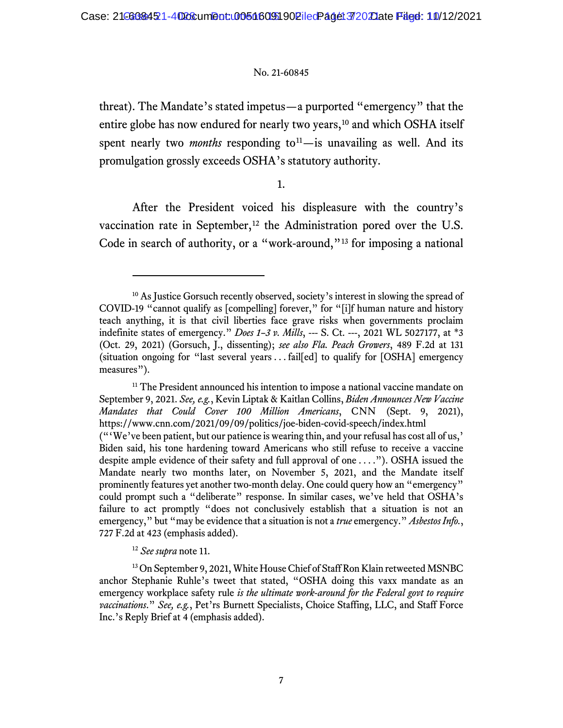threat). The Mandate's stated impetus—a purported "emergency" that the entire globe has now endured for nearly two years,<sup>[10](#page-9-0)</sup> and which OSHA itself spent nearly two *months* responding to<sup>[11](#page-9-1)</sup>—is unavailing as well. And its promulgation grossly exceeds OSHA's statutory authority.

1.

After the President voiced his displeasure with the country's vaccination rate in September,<sup>[12](#page-9-2)</sup> the Administration pored over the U.S. Code in search of authority, or a "work-around,"<sup>[13](#page-9-3)</sup> for imposing a national

<sup>12</sup> *See supra* note 11.

<span id="page-9-0"></span><sup>&</sup>lt;sup>10</sup> As Justice Gorsuch recently observed, society's interest in slowing the spread of COVID-19 "cannot qualify as [compelling] forever," for "[i]f human nature and history teach anything, it is that civil liberties face grave risks when governments proclaim indefinite states of emergency." *Does 1–3 v. Mills*, --- S. Ct. ---, 2021 WL 5027177, at \*3 (Oct. 29, 2021) (Gorsuch, J., dissenting); *see also Fla. Peach Growers*, 489 F.2d at 131 (situation ongoing for "last several years . . . fail[ed] to qualify for [OSHA] emergency measures").

<span id="page-9-1"></span><sup>&</sup>lt;sup>11</sup> The President announced his intention to impose a national vaccine mandate on September 9, 2021. *See, e.g.*, Kevin Liptak & Kaitlan Collins, *Biden Announces New Vaccine Mandates that Could Cover 100 Million Americans*, CNN (Sept. 9, 2021), https://www.cnn.com/2021/09/09/politics/joe-biden-covid-speech/index.html ("'We've been patient, but our patience is wearing thin, and your refusal has cost all of us,' Biden said, his tone hardening toward Americans who still refuse to receive a vaccine despite ample evidence of their safety and full approval of one . . . ."). OSHA issued the Mandate nearly two months later, on November 5, 2021, and the Mandate itself prominently features yet another two-month delay. One could query how an "emergency" could prompt such a "deliberate" response. In similar cases, we've held that OSHA's failure to act promptly "does not conclusively establish that a situation is not an emergency," but "may be evidence that a situation is not a *true* emergency." *Asbestos Info.*, 727 F.2d at 423 (emphasis added).

<span id="page-9-3"></span><span id="page-9-2"></span><sup>&</sup>lt;sup>13</sup> On September 9, 2021, White House Chief of Staff Ron Klain retweeted MSNBC anchor Stephanie Ruhle's tweet that stated, "OSHA doing this vaxx mandate as an emergency workplace safety rule *is the ultimate work-around for the Federal govt to require vaccinations*." *See, e.g.*, Pet'rs Burnett Specialists, Choice Staffing, LLC, and Staff Force Inc.'s Reply Brief at 4 (emphasis added).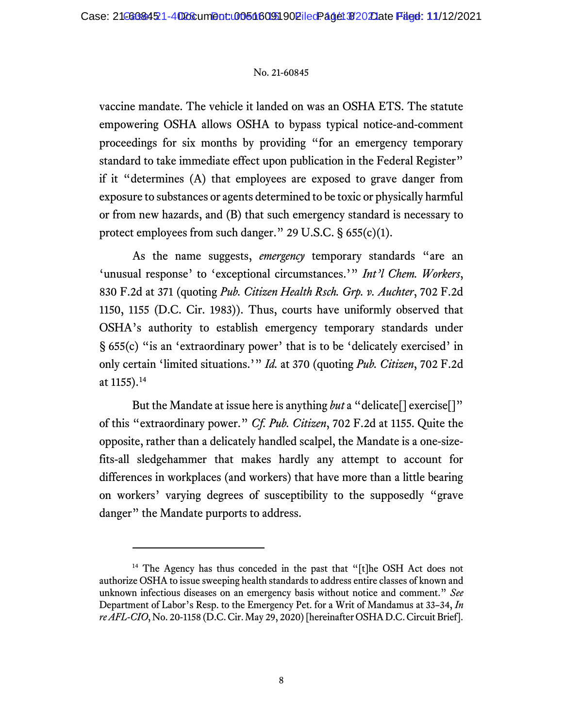vaccine mandate. The vehicle it landed on was an OSHA ETS. The statute empowering OSHA allows OSHA to bypass typical notice-and-comment proceedings for six months by providing "for an emergency temporary standard to take immediate effect upon publication in the Federal Register" if it "determines (A) that employees are exposed to grave danger from exposure to substances or agents determined to be toxic or physically harmful or from new hazards, and (B) that such emergency standard is necessary to protect employees from such danger." 29 U.S.C. § 655(c)(1).

As the name suggests, *emergency* temporary standards "are an 'unusual response' to 'exceptional circumstances.'" *Int'l Chem. Workers*, 830 F.2d at 371 (quoting *Pub. Citizen Health Rsch. Grp. v. Auchter*, 702 F.2d 1150, 1155 (D.C. Cir. 1983)). Thus, courts have uniformly observed that OSHA's authority to establish emergency temporary standards under § 655(c) "is an 'extraordinary power' that is to be 'delicately exercised' in only certain 'limited situations.'" *Id.* at 370 (quoting *Pub. Citizen*, 702 F.2d at 1155).<sup>[14](#page-10-0)</sup>

But the Mandate at issue here is anything *but* a "delicate[] exercise[]" of this "extraordinary power." *Cf. Pub. Citizen*, 702 F.2d at 1155. Quite the opposite, rather than a delicately handled scalpel, the Mandate is a one-sizefits-all sledgehammer that makes hardly any attempt to account for differences in workplaces (and workers) that have more than a little bearing on workers' varying degrees of susceptibility to the supposedly "grave danger" the Mandate purports to address.

<span id="page-10-0"></span><sup>&</sup>lt;sup>14</sup> The Agency has thus conceded in the past that "[t]he OSH Act does not authorize OSHA to issue sweeping health standards to address entire classes of known and unknown infectious diseases on an emergency basis without notice and comment." *See*  Department of Labor's Resp. to the Emergency Pet. for a Writ of Mandamus at 33–34, *In re AFL-CIO*, No. 20-1158 (D.C. Cir. May 29, 2020) [hereinafter OSHA D.C. Circuit Brief].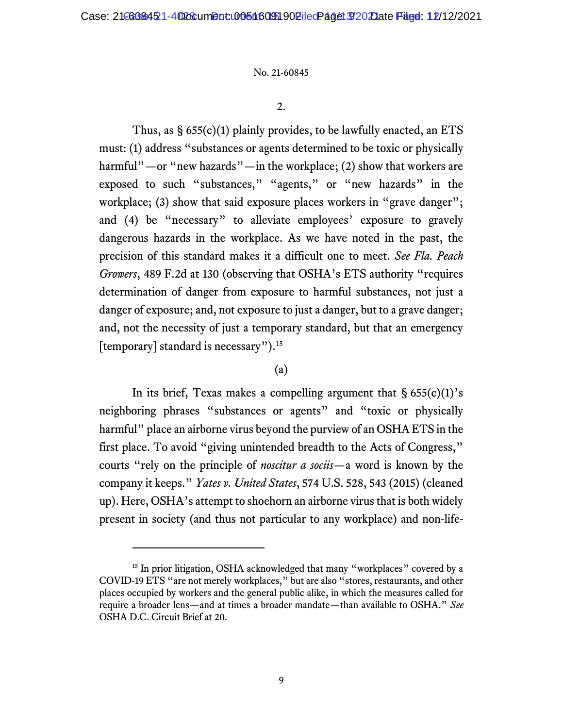2.

Thus, as  $\S 655(c)(1)$  plainly provides, to be lawfully enacted, an ETS must: (1) address "substances or agents determined to be toxic or physically harmful"—or "new hazards"—in the workplace; (2) show that workers are exposed to such "substances," "agents," or "new hazards" in the workplace; (3) show that said exposure places workers in "grave danger"; and (4) be "necessary" to alleviate employees' exposure to gravely dangerous hazards in the workplace. As we have noted in the past, the precision of this standard makes it a difficult one to meet. *See Fla. Peach Growers*, 489 F.2d at 130 (observing that OSHA's ETS authority "requires determination of danger from exposure to harmful substances, not just a danger of exposure; and, not exposure to just a danger, but to a grave danger; and, not the necessity of just a temporary standard, but that an emergency [temporary] standard is necessary").<sup>[15](#page-11-0)</sup>

## (a)

In its brief, Texas makes a compelling argument that  $\S 655(c)(1)$ 's neighboring phrases "substances or agents" and "toxic or physically harmful" place an airborne virus beyond the purview of an OSHA ETS in the first place. To avoid "giving unintended breadth to the Acts of Congress," courts "rely on the principle of *noscitur a sociis*—a word is known by the company it keeps." *Yates v. United States*, 574 U.S. 528, 543 (2015) (cleaned up). Here, OSHA's attempt to shoehorn an airborne virus that is both widely present in society (and thus not particular to any workplace) and non-life-

<span id="page-11-0"></span><sup>&</sup>lt;sup>15</sup> In prior litigation, OSHA acknowledged that many "workplaces" covered by a COVID-19 ETS "are not merely workplaces," but are also "stores, restaurants, and other places occupied by workers and the general public alike, in which the measures called for require a broader lens—and at times a broader mandate—than available to OSHA." *See*  OSHA D.C. Circuit Brief at 20.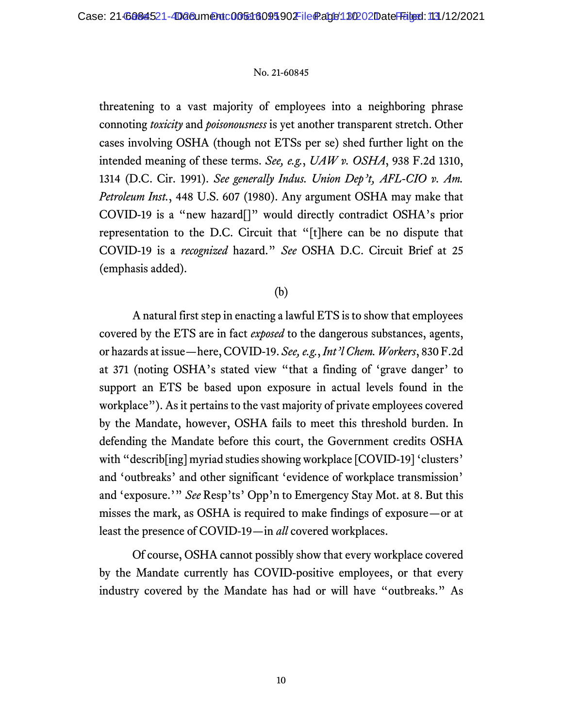threatening to a vast majority of employees into a neighboring phrase connoting *toxicity* and *poisonousness* is yet another transparent stretch. Other cases involving OSHA (though not ETSs per se) shed further light on the intended meaning of these terms. *See, e.g.*, *UAW v. OSHA*, 938 F.2d 1310, 1314 (D.C. Cir. 1991). *See generally Indus. Union Dep't, AFL-CIO v. Am. Petroleum Inst.*, 448 U.S. 607 (1980). Any argument OSHA may make that COVID-19 is a "new hazard[]" would directly contradict OSHA's prior representation to the D.C. Circuit that "[t]here can be no dispute that COVID-19 is a *recognized* hazard." *See* OSHA D.C. Circuit Brief at 25 (emphasis added).

## (b)

A natural first step in enacting a lawful ETS is to show that employees covered by the ETS are in fact *exposed* to the dangerous substances, agents, or hazards at issue—here, COVID-19. *See, e.g.*, *Int'l Chem. Workers*, 830 F.2d at 371 (noting OSHA's stated view "that a finding of 'grave danger' to support an ETS be based upon exposure in actual levels found in the workplace"). As it pertains to the vast majority of private employees covered by the Mandate, however, OSHA fails to meet this threshold burden. In defending the Mandate before this court, the Government credits OSHA with "describ [ing] myriad studies showing workplace [COVID-19] 'clusters' and 'outbreaks' and other significant 'evidence of workplace transmission' and 'exposure.'" *See* Resp'ts' Opp'n to Emergency Stay Mot. at 8. But this misses the mark, as OSHA is required to make findings of exposure—or at least the presence of COVID-19—in *all* covered workplaces.

Of course, OSHA cannot possibly show that every workplace covered by the Mandate currently has COVID-positive employees, or that every industry covered by the Mandate has had or will have "outbreaks." As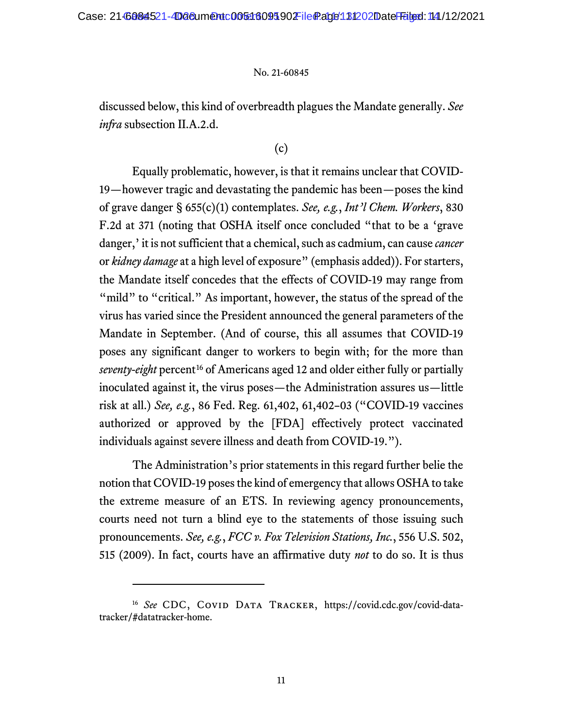discussed below, this kind of overbreadth plagues the Mandate generally. *See infra* subsection II.A.2.d.

## (c)

Equally problematic, however, is that it remains unclear that COVID-19—however tragic and devastating the pandemic has been—poses the kind of grave danger § 655(c)(1) contemplates. *See, e.g.*, *Int'l Chem. Workers*, 830 F.2d at 371 (noting that OSHA itself once concluded "that to be a 'grave danger,' it is not sufficient that a chemical, such as cadmium, can cause *cancer* or *kidney damage* at a high level of exposure" (emphasis added)). For starters, the Mandate itself concedes that the effects of COVID-19 may range from "mild" to "critical." As important, however, the status of the spread of the virus has varied since the President announced the general parameters of the Mandate in September. (And of course, this all assumes that COVID-19 poses any significant danger to workers to begin with; for the more than *seventy-eight* percent<sup>[16](#page-13-0)</sup> of Americans aged 12 and older either fully or partially inoculated against it, the virus poses—the Administration assures us—little risk at all.) *See, e.g.*, 86 Fed. Reg. 61,402, 61,402–03 ("COVID-19 vaccines authorized or approved by the [FDA] effectively protect vaccinated individuals against severe illness and death from COVID-19.").

The Administration's prior statements in this regard further belie the notion that COVID-19 poses the kind of emergency that allows OSHA to take the extreme measure of an ETS. In reviewing agency pronouncements, courts need not turn a blind eye to the statements of those issuing such pronouncements. *See, e.g.*, *FCC v. Fox Television Stations, Inc.*, 556 U.S. 502, 515 (2009). In fact, courts have an affirmative duty *not* to do so. It is thus

<span id="page-13-0"></span><sup>&</sup>lt;sup>16</sup> See CDC, COVID DATA TRACKER, https://covid.cdc.gov/covid-datatracker/#datatracker-home.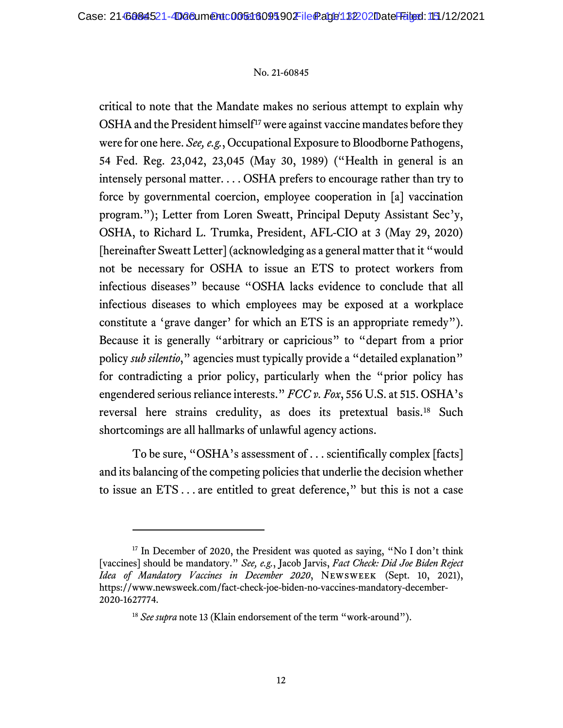critical to note that the Mandate makes no serious attempt to explain why OSHA and the President himself<sup>[17](#page-14-0)</sup> were against vaccine mandates before they were for one here. *See, e.g.*, Occupational Exposure to Bloodborne Pathogens, 54 Fed. Reg. 23,042, 23,045 (May 30, 1989) ("Health in general is an intensely personal matter. . . . OSHA prefers to encourage rather than try to force by governmental coercion, employee cooperation in [a] vaccination program."); Letter from Loren Sweatt, Principal Deputy Assistant Sec'y, OSHA, to Richard L. Trumka, President, AFL-CIO at 3 (May 29, 2020) [hereinafter Sweatt Letter] (acknowledging as a general matter that it "would not be necessary for OSHA to issue an ETS to protect workers from infectious diseases" because "OSHA lacks evidence to conclude that all infectious diseases to which employees may be exposed at a workplace constitute a 'grave danger' for which an ETS is an appropriate remedy"). Because it is generally "arbitrary or capricious" to "depart from a prior policy *sub silentio*," agencies must typically provide a "detailed explanation" for contradicting a prior policy, particularly when the "prior policy has engendered serious reliance interests." *FCC v. Fox*, 556 U.S. at 515. OSHA's reversal here strains credulity, as does its pretextual basis.<sup>[18](#page-14-1)</sup> Such shortcomings are all hallmarks of unlawful agency actions.

To be sure, "OSHA's assessment of . . . scientifically complex [facts] and its balancing of the competing policies that underlie the decision whether to issue an ETS . . . are entitled to great deference," but this is not a case

<span id="page-14-1"></span><span id="page-14-0"></span><sup>&</sup>lt;sup>17</sup> In December of 2020, the President was quoted as saying, "No I don't think [vaccines] should be mandatory." *See, e.g.*, Jacob Jarvis, *Fact Check: Did Joe Biden Reject Idea of Mandatory Vaccines in December 2020*, Newsweek (Sept. 10, 2021), https://www.newsweek.com/fact-check-joe-biden-no-vaccines-mandatory-december-2020-1627774.

<sup>&</sup>lt;sup>18</sup> See supra note 13 (Klain endorsement of the term "work-around").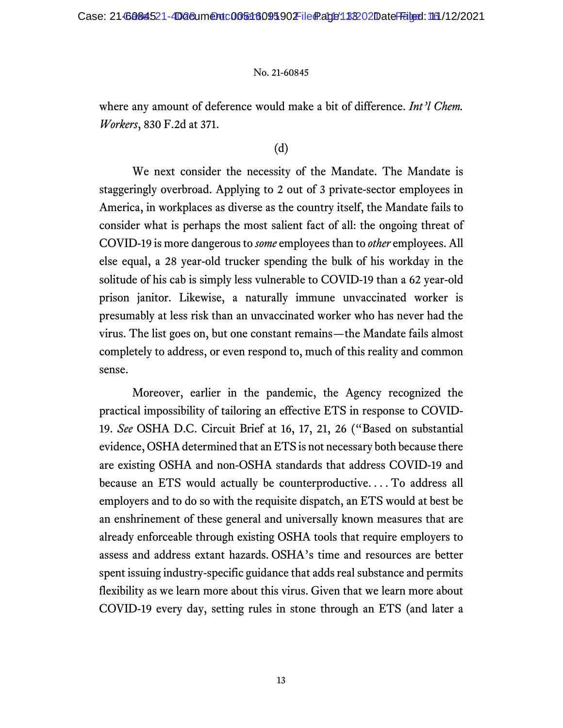where any amount of deference would make a bit of difference. *Int'l Chem. Workers*, 830 F.2d at 371.

## (d)

We next consider the necessity of the Mandate. The Mandate is staggeringly overbroad. Applying to 2 out of 3 private-sector employees in America, in workplaces as diverse as the country itself, the Mandate fails to consider what is perhaps the most salient fact of all: the ongoing threat of COVID-19 is more dangerous to *some* employees than to *other* employees. All else equal, a 28 year-old trucker spending the bulk of his workday in the solitude of his cab is simply less vulnerable to COVID-19 than a 62 year-old prison janitor. Likewise, a naturally immune unvaccinated worker is presumably at less risk than an unvaccinated worker who has never had the virus. The list goes on, but one constant remains—the Mandate fails almost completely to address, or even respond to, much of this reality and common sense.

Moreover, earlier in the pandemic, the Agency recognized the practical impossibility of tailoring an effective ETS in response to COVID-19. *See* OSHA D.C. Circuit Brief at 16, 17, 21, 26 ("Based on substantial evidence, OSHA determined that an ETS is not necessary both because there are existing OSHA and non-OSHA standards that address COVID-19 and because an ETS would actually be counterproductive. . . . To address all employers and to do so with the requisite dispatch, an ETS would at best be an enshrinement of these general and universally known measures that are already enforceable through existing OSHA tools that require employers to assess and address extant hazards. OSHA's time and resources are better spent issuing industry-specific guidance that adds real substance and permits flexibility as we learn more about this virus. Given that we learn more about COVID-19 every day, setting rules in stone through an ETS (and later a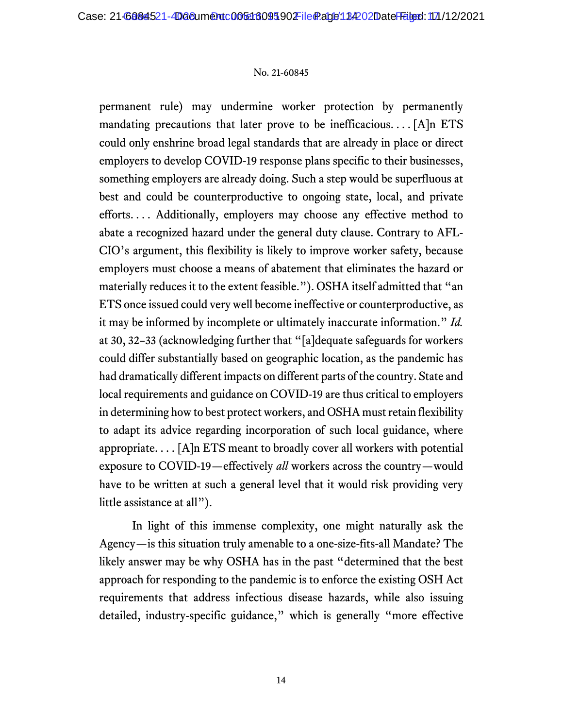permanent rule) may undermine worker protection by permanently mandating precautions that later prove to be inefficacious....  $[A]$ n ETS could only enshrine broad legal standards that are already in place or direct employers to develop COVID-19 response plans specific to their businesses, something employers are already doing. Such a step would be superfluous at best and could be counterproductive to ongoing state, local, and private efforts. . . . Additionally, employers may choose any effective method to abate a recognized hazard under the general duty clause. Contrary to AFL-CIO's argument, this flexibility is likely to improve worker safety, because employers must choose a means of abatement that eliminates the hazard or materially reduces it to the extent feasible."). OSHA itself admitted that "an ETS once issued could very well become ineffective or counterproductive, as it may be informed by incomplete or ultimately inaccurate information." *Id.*  at 30, 32–33 (acknowledging further that "[a]dequate safeguards for workers could differ substantially based on geographic location, as the pandemic has had dramatically different impacts on different parts of the country. State and local requirements and guidance on COVID-19 are thus critical to employers in determining how to best protect workers, and OSHA must retain flexibility to adapt its advice regarding incorporation of such local guidance, where appropriate....  $[A]$ n ETS meant to broadly cover all workers with potential exposure to COVID-19—effectively *all* workers across the country—would have to be written at such a general level that it would risk providing very little assistance at all").

In light of this immense complexity, one might naturally ask the Agency—is this situation truly amenable to a one-size-fits-all Mandate? The likely answer may be why OSHA has in the past "determined that the best approach for responding to the pandemic is to enforce the existing OSH Act requirements that address infectious disease hazards, while also issuing detailed, industry-specific guidance," which is generally "more effective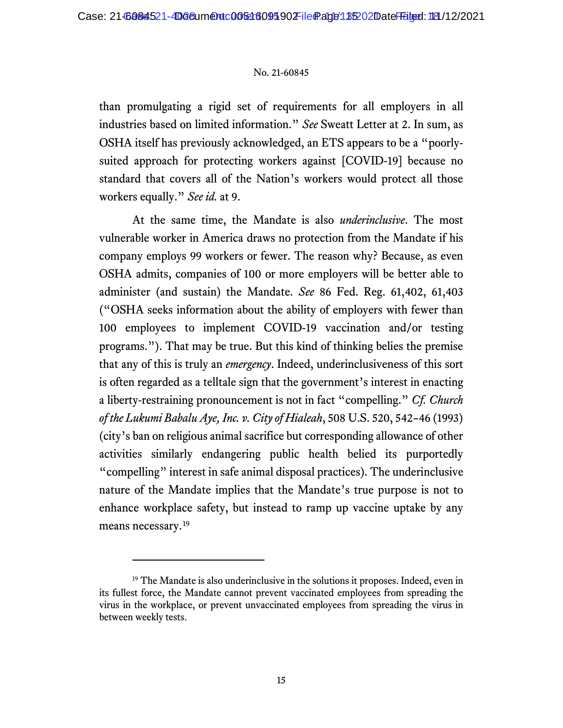than promulgating a rigid set of requirements for all employers in all industries based on limited information." *See* Sweatt Letter at 2. In sum, as OSHA itself has previously acknowledged, an ETS appears to be a "poorlysuited approach for protecting workers against [COVID-19] because no standard that covers all of the Nation's workers would protect all those workers equally." *See id.* at 9.

At the same time, the Mandate is also *underinclusive*. The most vulnerable worker in America draws no protection from the Mandate if his company employs 99 workers or fewer. The reason why? Because, as even OSHA admits, companies of 100 or more employers will be better able to administer (and sustain) the Mandate. *See* 86 Fed. Reg. 61,402, 61,403 ("OSHA seeks information about the ability of employers with fewer than 100 employees to implement COVID-19 vaccination and/or testing programs."). That may be true. But this kind of thinking belies the premise that any of this is truly an *emergency*. Indeed, underinclusiveness of this sort is often regarded as a telltale sign that the government's interest in enacting a liberty-restraining pronouncement is not in fact "compelling." *Cf. Church of the Lukumi Babalu Aye, Inc. v. City of Hialeah*, 508 U.S. 520, 542–46 (1993) (city's ban on religious animal sacrifice but corresponding allowance of other activities similarly endangering public health belied its purportedly "compelling" interest in safe animal disposal practices). The underinclusive nature of the Mandate implies that the Mandate's true purpose is not to enhance workplace safety, but instead to ramp up vaccine uptake by any means necessary. [19](#page-17-0)

<span id="page-17-0"></span><sup>&</sup>lt;sup>19</sup> The Mandate is also underinclusive in the solutions it proposes. Indeed, even in its fullest force, the Mandate cannot prevent vaccinated employees from spreading the virus in the workplace, or prevent unvaccinated employees from spreading the virus in between weekly tests.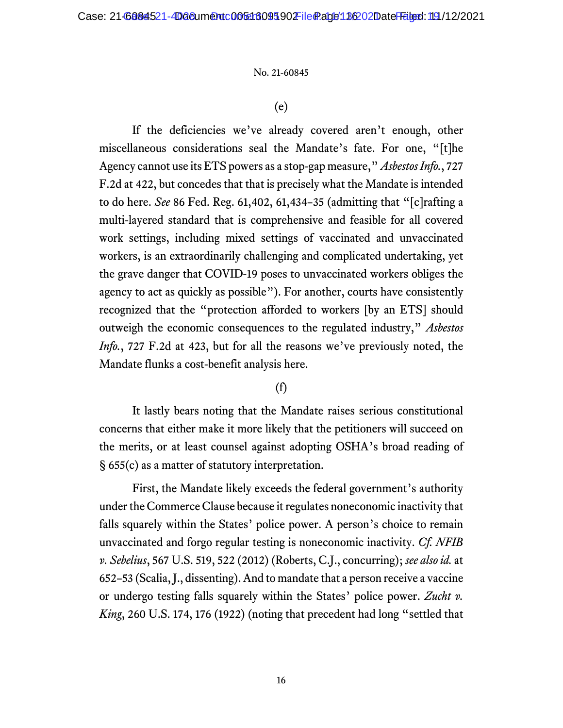(e)

If the deficiencies we've already covered aren't enough, other miscellaneous considerations seal the Mandate's fate. For one, "[t]he Agency cannot use its ETS powers as a stop-gap measure," *Asbestos Info.*, 727 F.2d at 422, but concedes that that is precisely what the Mandate is intended to do here. *See* 86 Fed. Reg. 61,402, 61,434–35 (admitting that "[c]rafting a multi-layered standard that is comprehensive and feasible for all covered work settings, including mixed settings of vaccinated and unvaccinated workers, is an extraordinarily challenging and complicated undertaking, yet the grave danger that COVID-19 poses to unvaccinated workers obliges the agency to act as quickly as possible"). For another, courts have consistently recognized that the "protection afforded to workers [by an ETS] should outweigh the economic consequences to the regulated industry," *Asbestos Info.*, 727 F.2d at 423, but for all the reasons we've previously noted, the Mandate flunks a cost-benefit analysis here.

## (f)

It lastly bears noting that the Mandate raises serious constitutional concerns that either make it more likely that the petitioners will succeed on the merits, or at least counsel against adopting OSHA's broad reading of § 655(c) as a matter of statutory interpretation.

First, the Mandate likely exceeds the federal government's authority under the Commerce Clause because it regulates noneconomic inactivity that falls squarely within the States' police power. A person's choice to remain unvaccinated and forgo regular testing is noneconomic inactivity. *Cf. NFIB v. Sebelius*, 567 U.S. 519, 522 (2012) (Roberts, C.J., concurring); *see also id.* at 652–53 (Scalia, J., dissenting). And to mandate that a person receive a vaccine or undergo testing falls squarely within the States' police power. *Zucht v. King*, 260 U.S. 174, 176 (1922) (noting that precedent had long "settled that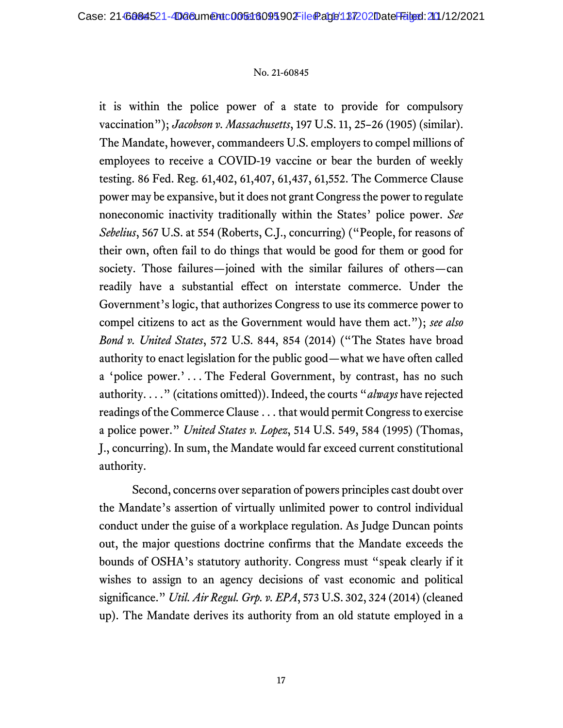it is within the police power of a state to provide for compulsory vaccination"); *Jacobson v. Massachusetts*, 197 U.S. 11, 25–26 (1905) (similar). The Mandate, however, commandeers U.S. employers to compel millions of employees to receive a COVID-19 vaccine or bear the burden of weekly testing. 86 Fed. Reg. 61,402, 61,407, 61,437, 61,552. The Commerce Clause power may be expansive, but it does not grant Congress the power to regulate noneconomic inactivity traditionally within the States' police power. *See Sebelius*, 567 U.S. at 554 (Roberts, C.J., concurring) ("People, for reasons of their own, often fail to do things that would be good for them or good for society. Those failures—joined with the similar failures of others—can readily have a substantial effect on interstate commerce. Under the Government's logic, that authorizes Congress to use its commerce power to compel citizens to act as the Government would have them act."); *see also Bond v. United States*, 572 U.S. 844, 854 (2014) ("The States have broad authority to enact legislation for the public good—what we have often called a 'police power.' . . . The Federal Government, by contrast, has no such authority. . . ." (citations omitted)). Indeed, the courts "*always* have rejected readings of the Commerce Clause . . . that would permit Congress to exercise a police power." *United States v. Lopez*, 514 U.S. 549, 584 (1995) (Thomas, J., concurring). In sum, the Mandate would far exceed current constitutional authority.

Second, concerns over separation of powers principles cast doubt over the Mandate's assertion of virtually unlimited power to control individual conduct under the guise of a workplace regulation. As Judge Duncan points out, the major questions doctrine confirms that the Mandate exceeds the bounds of OSHA's statutory authority. Congress must "speak clearly if it wishes to assign to an agency decisions of vast economic and political significance." *Util. Air Regul. Grp. v. EPA*, 573 U.S. 302, 324 (2014) (cleaned up). The Mandate derives its authority from an old statute employed in a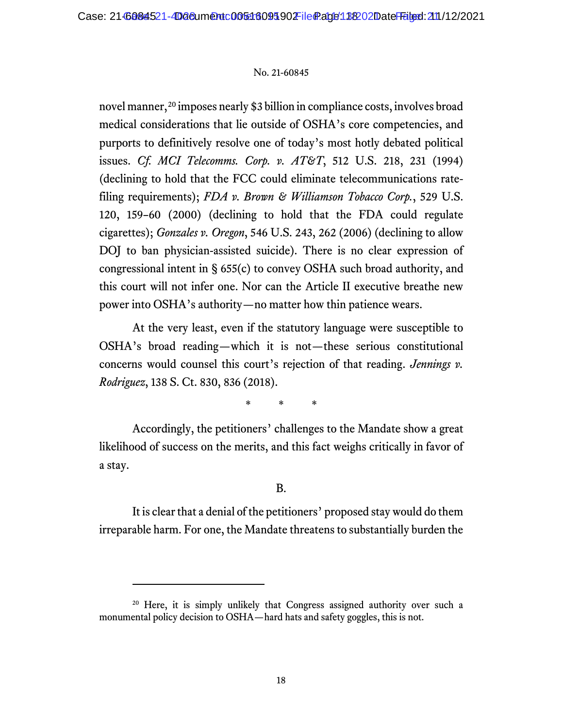novel manner,<sup>[20](#page-20-0)</sup> imposes nearly \$3 billion in compliance costs, involves broad medical considerations that lie outside of OSHA's core competencies, and purports to definitively resolve one of today's most hotly debated political issues. *Cf. MCI Telecomms. Corp. v. AT&T*, 512 U.S. 218, 231 (1994) (declining to hold that the FCC could eliminate telecommunications ratefiling requirements); *FDA v. Brown & Williamson Tobacco Corp.*, 529 U.S. 120, 159–60 (2000) (declining to hold that the FDA could regulate cigarettes); *Gonzales v. Oregon*, 546 U.S. 243, 262 (2006) (declining to allow DOJ to ban physician-assisted suicide). There is no clear expression of congressional intent in § 655(c) to convey OSHA such broad authority, and this court will not infer one. Nor can the Article II executive breathe new power into OSHA's authority—no matter how thin patience wears.

At the very least, even if the statutory language were susceptible to OSHA's broad reading—which it is not—these serious constitutional concerns would counsel this court's rejection of that reading. *Jennings v. Rodriguez*, 138 S. Ct. 830, 836 (2018).

\* \* \*

Accordingly, the petitioners' challenges to the Mandate show a great likelihood of success on the merits, and this fact weighs critically in favor of a stay.

### B.

It is clear that a denial of the petitioners' proposed stay would do them irreparable harm. For one, the Mandate threatens to substantially burden the

<span id="page-20-0"></span><sup>&</sup>lt;sup>20</sup> Here, it is simply unlikely that Congress assigned authority over such a monumental policy decision to OSHA—hard hats and safety goggles, this is not.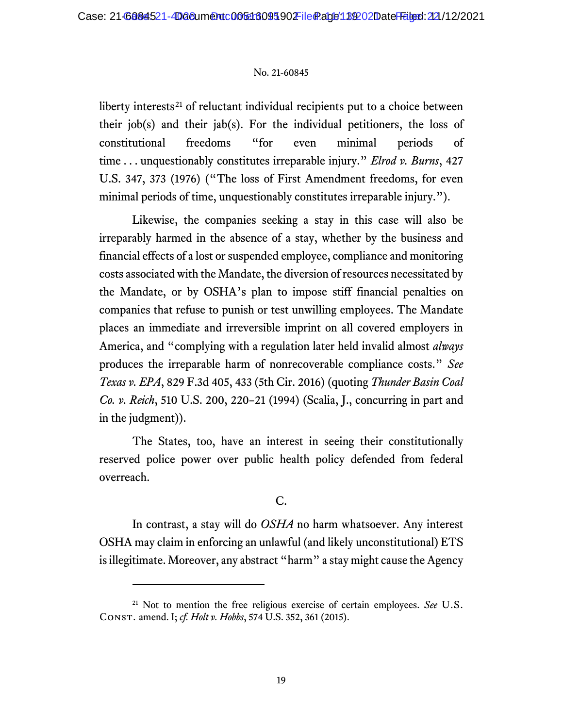liberty interests<sup>[21](#page-21-0)</sup> of reluctant individual recipients put to a choice between their job(s) and their jab(s). For the individual petitioners, the loss of constitutional freedoms "for even minimal periods of time . . . unquestionably constitutes irreparable injury." *Elrod v. Burns*, 427 U.S. 347, 373 (1976) ("The loss of First Amendment freedoms, for even minimal periods of time, unquestionably constitutes irreparable injury.").

Likewise, the companies seeking a stay in this case will also be irreparably harmed in the absence of a stay, whether by the business and financial effects of a lost or suspended employee, compliance and monitoring costs associated with the Mandate, the diversion of resources necessitated by the Mandate, or by OSHA's plan to impose stiff financial penalties on companies that refuse to punish or test unwilling employees. The Mandate places an immediate and irreversible imprint on all covered employers in America, and "complying with a regulation later held invalid almost *always*  produces the irreparable harm of nonrecoverable compliance costs." *See Texas v. EPA*, 829 F.3d 405, 433 (5th Cir. 2016) (quoting *Thunder Basin Coal Co. v. Reich*, 510 U.S. 200, 220–21 (1994) (Scalia, J., concurring in part and in the judgment)).

The States, too, have an interest in seeing their constitutionally reserved police power over public health policy defended from federal overreach.

## C.

In contrast, a stay will do *OSHA* no harm whatsoever. Any interest OSHA may claim in enforcing an unlawful (and likely unconstitutional) ETS is illegitimate. Moreover, any abstract "harm" a stay might cause the Agency

<span id="page-21-0"></span><sup>21</sup> Not to mention the free religious exercise of certain employees. *See* U.S. Const. amend. I; *cf. Holt v. Hobbs*, 574 U.S. 352, 361 (2015).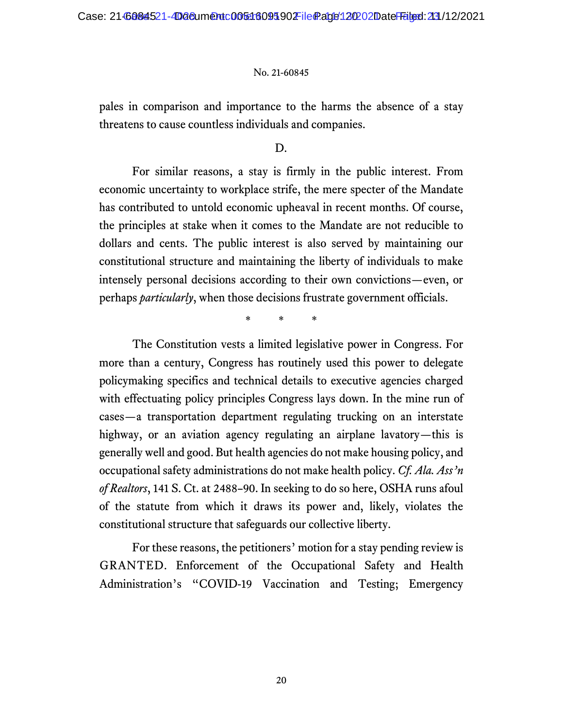pales in comparison and importance to the harms the absence of a stay threatens to cause countless individuals and companies.

D.

For similar reasons, a stay is firmly in the public interest. From economic uncertainty to workplace strife, the mere specter of the Mandate has contributed to untold economic upheaval in recent months. Of course, the principles at stake when it comes to the Mandate are not reducible to dollars and cents. The public interest is also served by maintaining our constitutional structure and maintaining the liberty of individuals to make intensely personal decisions according to their own convictions—even, or perhaps *particularly*, when those decisions frustrate government officials.

\* \* \*

The Constitution vests a limited legislative power in Congress. For more than a century, Congress has routinely used this power to delegate policymaking specifics and technical details to executive agencies charged with effectuating policy principles Congress lays down. In the mine run of cases—a transportation department regulating trucking on an interstate highway, or an aviation agency regulating an airplane lavatory—this is generally well and good. But health agencies do not make housing policy, and occupational safety administrations do not make health policy. *Cf. Ala. Ass'n of Realtors*, 141 S. Ct. at 2488–90. In seeking to do so here, OSHA runs afoul of the statute from which it draws its power and, likely, violates the constitutional structure that safeguards our collective liberty.

For these reasons, the petitioners' motion for a stay pending review is GRANTED. Enforcement of the Occupational Safety and Health Administration's "COVID-19 Vaccination and Testing; Emergency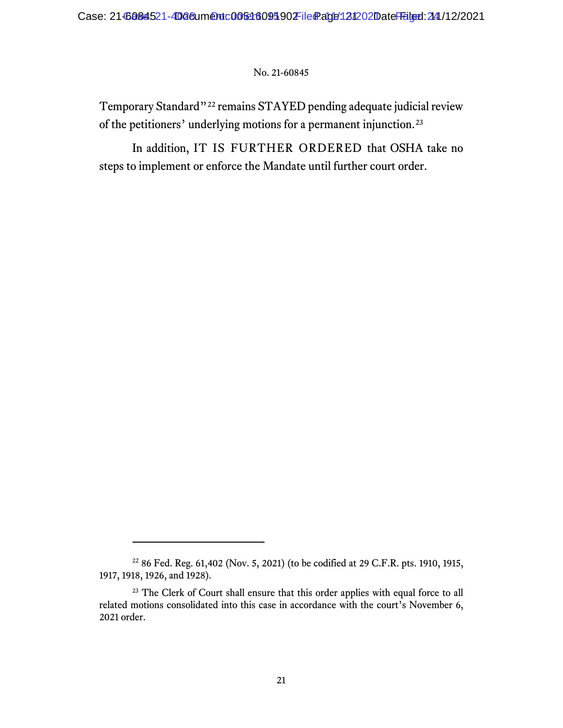Temporary Standard"[22](#page-23-0) remains STAYED pending adequate judicial review of the petitioners' underlying motions for a permanent injunction.[23](#page-23-1)

In addition, IT IS FURTHER ORDERED that OSHA take no steps to implement or enforce the Mandate until further court order.

<span id="page-23-0"></span><sup>22</sup> 86 Fed. Reg. 61,402 (Nov. 5, 2021) (to be codified at 29 C.F.R. pts. 1910, 1915, 1917, 1918, 1926, and 1928).

<span id="page-23-1"></span><sup>&</sup>lt;sup>23</sup> The Clerk of Court shall ensure that this order applies with equal force to all related motions consolidated into this case in accordance with the court's November 6, 2021 order.